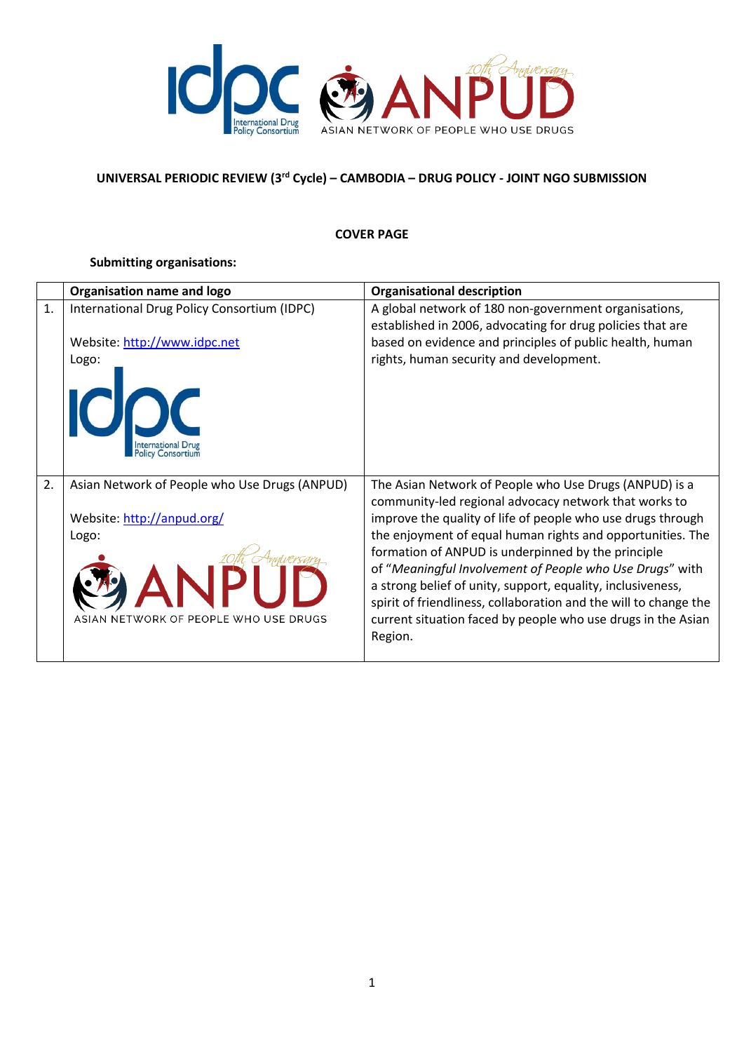

# **UNIVERSAL PERIODIC REVIEW (3rd Cycle) – CAMBODIA – DRUG POLICY - JOINT NGO SUBMISSION**

## **COVER PAGE**

# **Submitting organisations:**

|                | Organisation name and logo                           | <b>Organisational description</b>                                                                                                                                                                                                                                                                                            |
|----------------|------------------------------------------------------|------------------------------------------------------------------------------------------------------------------------------------------------------------------------------------------------------------------------------------------------------------------------------------------------------------------------------|
| $\mathbf{1}$ . | International Drug Policy Consortium (IDPC)          | A global network of 180 non-government organisations,<br>established in 2006, advocating for drug policies that are                                                                                                                                                                                                          |
|                | Website: http://www.idpc.net                         | based on evidence and principles of public health, human                                                                                                                                                                                                                                                                     |
|                | Logo:<br>International D<br><b>Policy Consortium</b> | rights, human security and development.                                                                                                                                                                                                                                                                                      |
| 2.             | Asian Network of People who Use Drugs (ANPUD)        | The Asian Network of People who Use Drugs (ANPUD) is a<br>community-led regional advocacy network that works to                                                                                                                                                                                                              |
|                | Website: http://anpud.org/                           | improve the quality of life of people who use drugs through                                                                                                                                                                                                                                                                  |
|                | Logo:                                                | the enjoyment of equal human rights and opportunities. The                                                                                                                                                                                                                                                                   |
|                | ASIAN NETWORK OF PEOPLE WHO USE DRUGS                | formation of ANPUD is underpinned by the principle<br>of "Meaningful Involvement of People who Use Drugs" with<br>a strong belief of unity, support, equality, inclusiveness,<br>spirit of friendliness, collaboration and the will to change the<br>current situation faced by people who use drugs in the Asian<br>Region. |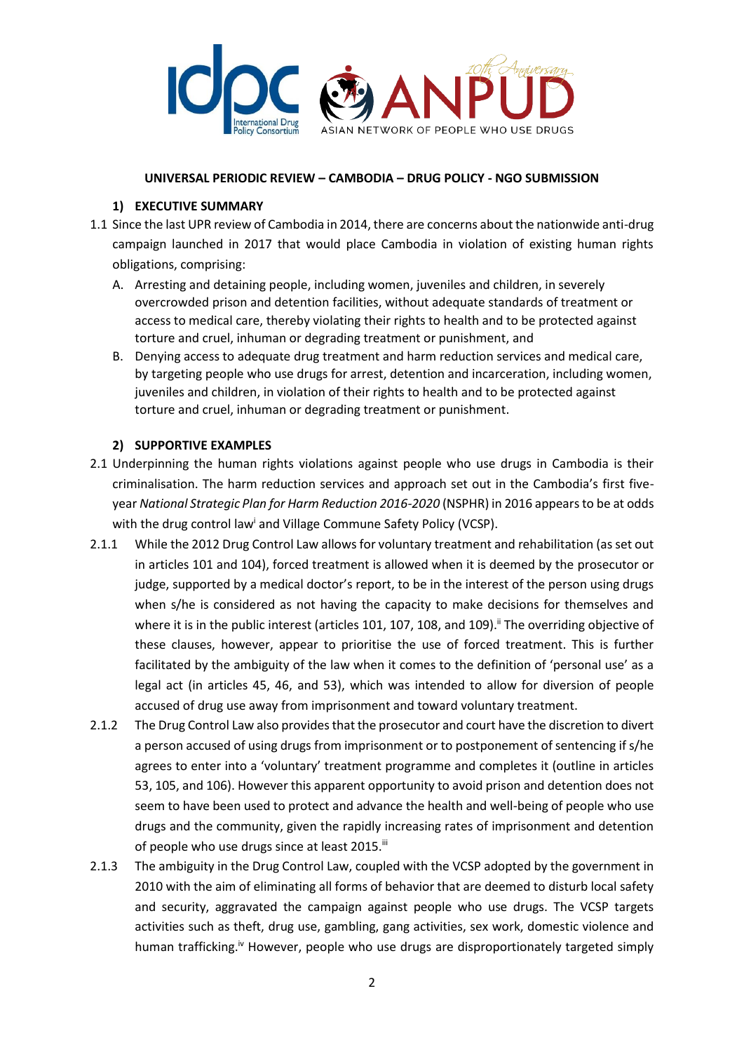

## **UNIVERSAL PERIODIC REVIEW – CAMBODIA – DRUG POLICY - NGO SUBMISSION**

# **1) EXECUTIVE SUMMARY**

- 1.1 Since the last UPR review of Cambodia in 2014, there are concerns about the nationwide anti-drug campaign launched in 2017 that would place Cambodia in violation of existing human rights obligations, comprising:
	- A. Arresting and detaining people, including women, juveniles and children, in severely overcrowded prison and detention facilities, without adequate standards of treatment or access to medical care, thereby violating their rights to health and to be protected against torture and cruel, inhuman or degrading treatment or punishment, and
	- B. Denying access to adequate drug treatment and harm reduction services and medical care, by targeting people who use drugs for arrest, detention and incarceration, including women, juveniles and children, in violation of their rights to health and to be protected against torture and cruel, inhuman or degrading treatment or punishment.

# **2) SUPPORTIVE EXAMPLES**

- 2.1 Underpinning the human rights violations against people who use drugs in Cambodia is their criminalisation. The harm reduction services and approach set out in the Cambodia's first fiveyear *National Strategic Plan for Harm Reduction 2016-2020* (NSPHR) in 2016 appears to be at odds with the drug control law<sup>i</sup> and Village Commune Safety Policy (VCSP).
- 2.1.1 While the 2012 Drug Control Law allows for voluntary treatment and rehabilitation (as set out in articles 101 and 104), forced treatment is allowed when it is deemed by the prosecutor or judge, supported by a medical doctor's report, to be in the interest of the person using drugs when s/he is considered as not having the capacity to make decisions for themselves and where it is in the public interest (articles 101, 107, 108, and 109).<sup>ii</sup> The overriding objective of these clauses, however, appear to prioritise the use of forced treatment. This is further facilitated by the ambiguity of the law when it comes to the definition of 'personal use' as a legal act (in articles 45, 46, and 53), which was intended to allow for diversion of people accused of drug use away from imprisonment and toward voluntary treatment.
- 2.1.2 The Drug Control Law also provides that the prosecutor and court have the discretion to divert a person accused of using drugs from imprisonment or to postponement of sentencing if s/he agrees to enter into a 'voluntary' treatment programme and completes it (outline in articles 53, 105, and 106). However this apparent opportunity to avoid prison and detention does not seem to have been used to protect and advance the health and well-being of people who use drugs and the community, given the rapidly increasing rates of imprisonment and detention of people who use drugs since at least 2015.<sup>iii</sup>
- 2.1.3 The ambiguity in the Drug Control Law, coupled with the VCSP adopted by the government in 2010 with the aim of eliminating all forms of behavior that are deemed to disturb local safety and security, aggravated the campaign against people who use drugs. The VCSP targets activities such as theft, drug use, gambling, gang activities, sex work, domestic violence and human trafficking.<sup>iv</sup> However, people who use drugs are disproportionately targeted simply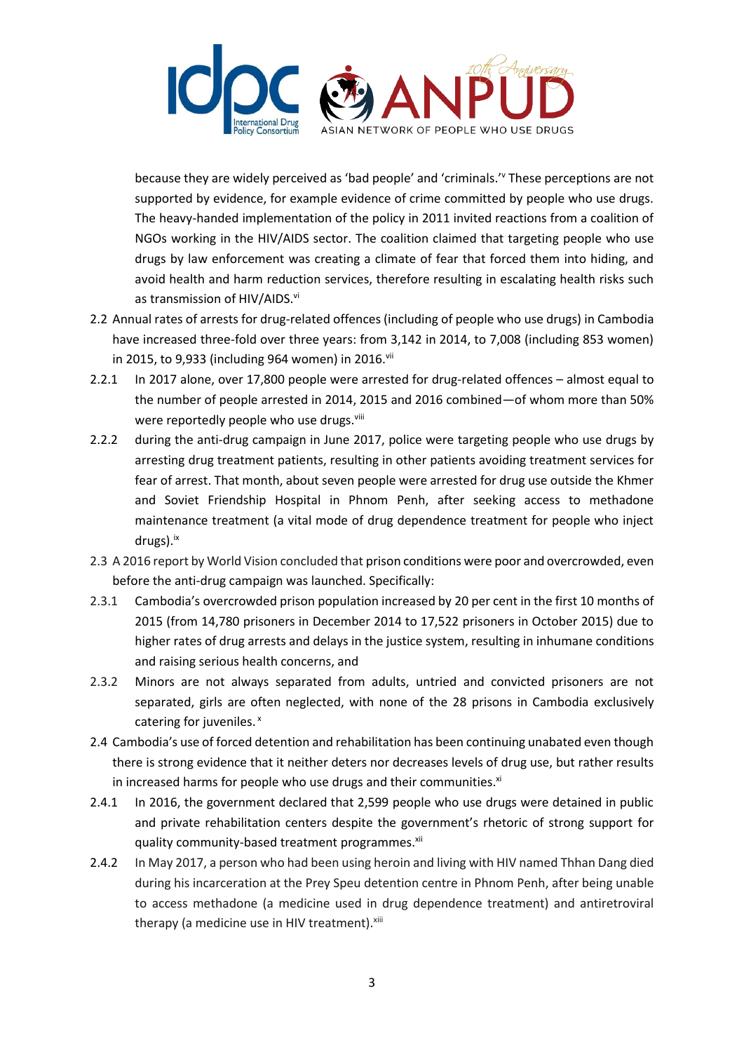

because they are widely perceived as 'bad people' and 'criminals.'<sup>v</sup> These perceptions are not supported by evidence, for example evidence of crime committed by people who use drugs. The heavy-handed implementation of the policy in 2011 invited reactions from a coalition of NGOs working in the HIV/AIDS sector. The coalition claimed that targeting people who use drugs by law enforcement was creating a climate of fear that forced them into hiding, and avoid health and harm reduction services, therefore resulting in escalating health risks such as transmission of HIV/AIDS.<sup>vi</sup>

- 2.2 Annual rates of arrests for drug-related offences (including of people who use drugs) in Cambodia have increased three-fold over three years: from 3,142 in 2014, to 7,008 (including 853 women) in 2015, to 9,933 (including 964 women) in 2016.vii
- 2.2.1 In 2017 alone, over 17,800 people were arrested for drug-related offences almost equal to the number of people arrested in 2014, 2015 and 2016 combined—of whom more than 50% were reportedly people who use drugs.<sup>viii</sup>
- 2.2.2 during the anti-drug campaign in June 2017, police were targeting people who use drugs by arresting drug treatment patients, resulting in other patients avoiding treatment services for fear of arrest. That month, about seven people were arrested for drug use outside the Khmer and Soviet Friendship Hospital in Phnom Penh, after seeking access to methadone maintenance treatment (a vital mode of drug dependence treatment for people who inject drugs). ix
- 2.3 A 2016 report by World Vision concluded that prison conditions were poor and overcrowded, even before the anti-drug campaign was launched. Specifically:
- 2.3.1 Cambodia's overcrowded prison population increased by 20 per cent in the first 10 months of 2015 (from 14,780 prisoners in December 2014 to 17,522 prisoners in October 2015) due to higher rates of drug arrests and delays in the justice system, resulting in inhumane conditions and raising serious health concerns, and
- 2.3.2 Minors are not always separated from adults, untried and convicted prisoners are not separated, girls are often neglected, with none of the 28 prisons in Cambodia exclusively catering for juveniles.<sup>x</sup>
- 2.4 Cambodia's use of forced detention and rehabilitation has been continuing unabated even though there is strong evidence that it neither deters nor decreases levels of drug use, but rather results in increased harms for people who use drugs and their communities.<sup>xi</sup>
- 2.4.1 In 2016, the government declared that 2,599 people who use drugs were detained in public and private rehabilitation centers despite the government's rhetoric of strong support for quality community-based treatment programmes.<sup>xii</sup>
- 2.4.2 In May 2017, a person who had been using heroin and living with HIV named Thhan Dang died during his incarceration at the Prey Speu detention centre in Phnom Penh, after being unable to access methadone (a medicine used in drug dependence treatment) and antiretroviral therapy (a medicine use in HIV treatment).<sup>xiii</sup>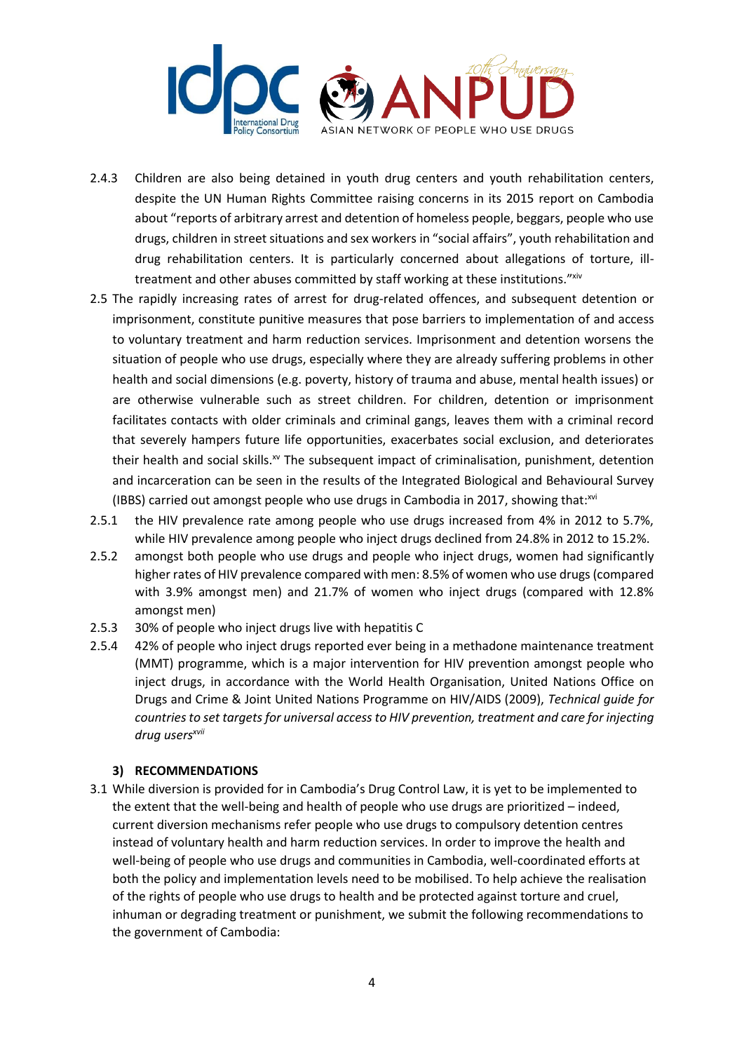

- 2.4.3 Children are also being detained in youth drug centers and youth rehabilitation centers, despite the UN Human Rights Committee raising concerns in its 2015 report on Cambodia about "reports of arbitrary arrest and detention of homeless people, beggars, people who use drugs, children in street situations and sex workers in "social affairs", youth rehabilitation and drug rehabilitation centers. It is particularly concerned about allegations of torture, illtreatment and other abuses committed by staff working at these institutions." Xiv
- 2.5 The rapidly increasing rates of arrest for drug-related offences, and subsequent detention or imprisonment, constitute punitive measures that pose barriers to implementation of and access to voluntary treatment and harm reduction services. Imprisonment and detention worsens the situation of people who use drugs, especially where they are already suffering problems in other health and social dimensions (e.g. poverty, history of trauma and abuse, mental health issues) or are otherwise vulnerable such as street children. For children, detention or imprisonment facilitates contacts with older criminals and criminal gangs, leaves them with a criminal record that severely hampers future life opportunities, exacerbates social exclusion, and deteriorates their health and social skills.<sup>xv</sup> The subsequent impact of criminalisation, punishment, detention and incarceration can be seen in the results of the Integrated Biological and Behavioural Survey (IBBS) carried out amongst people who use drugs in Cambodia in 2017, showing that: $^{xvi}$
- 2.5.1 the HIV prevalence rate among people who use drugs increased from 4% in 2012 to 5.7%, while HIV prevalence among people who inject drugs declined from 24.8% in 2012 to 15.2%.
- 2.5.2 amongst both people who use drugs and people who inject drugs, women had significantly higher rates of HIV prevalence compared with men: 8.5% of women who use drugs (compared with 3.9% amongst men) and 21.7% of women who inject drugs (compared with 12.8% amongst men)
- 2.5.3 30% of people who inject drugs live with hepatitis C
- 2.5.4 42% of people who inject drugs reported ever being in a methadone maintenance treatment (MMT) programme, which is a major intervention for HIV prevention amongst people who inject drugs, in accordance with the World Health Organisation, United Nations Office on Drugs and Crime & Joint United Nations Programme on HIV/AIDS (2009), *Technical guide for countries to set targets for universal access to HIV prevention, treatment and care for injecting drug usersxvii*

#### **3) RECOMMENDATIONS**

3.1 While diversion is provided for in Cambodia's Drug Control Law, it is yet to be implemented to the extent that the well-being and health of people who use drugs are prioritized – indeed, current diversion mechanisms refer people who use drugs to compulsory detention centres instead of voluntary health and harm reduction services. In order to improve the health and well-being of people who use drugs and communities in Cambodia, well-coordinated efforts at both the policy and implementation levels need to be mobilised. To help achieve the realisation of the rights of people who use drugs to health and be protected against torture and cruel, inhuman or degrading treatment or punishment, we submit the following recommendations to the government of Cambodia: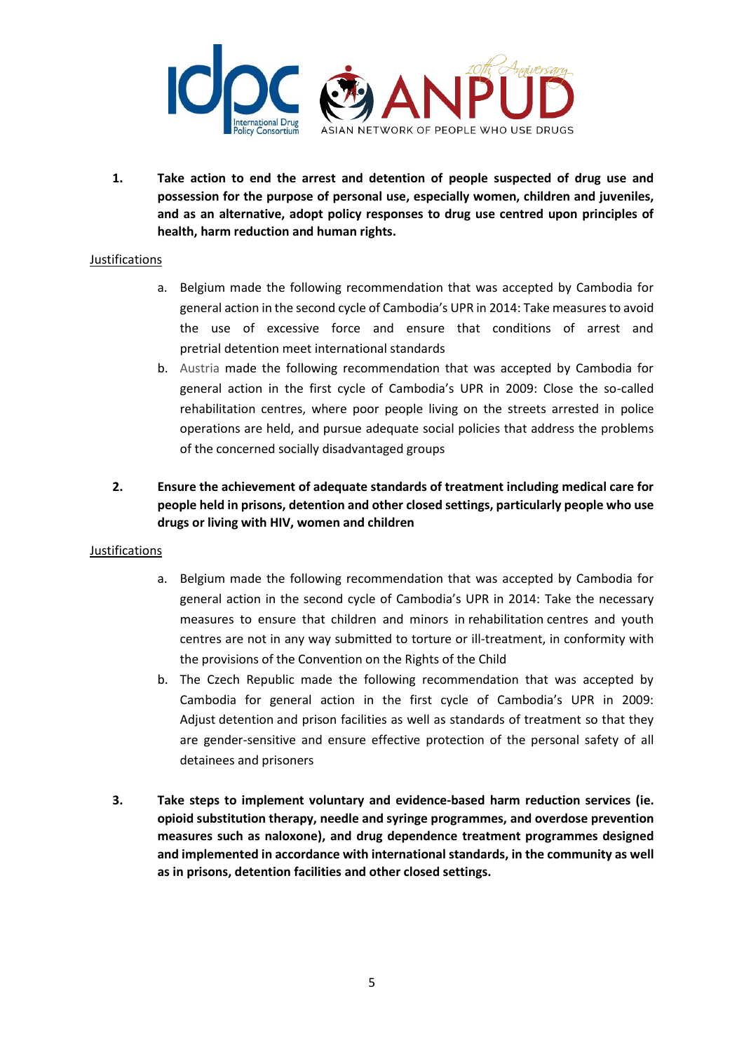

**1. Take action to end the arrest and detention of people suspected of drug use and possession for the purpose of personal use, especially women, children and juveniles, and as an alternative, adopt policy responses to drug use centred upon principles of health, harm reduction and human rights.**

# Justifications

- a. Belgium made the following recommendation that was accepted by Cambodia for general action in the second cycle of Cambodia's UPR in 2014: Take measures to avoid the use of excessive force and ensure that conditions of arrest and pretrial detention meet international standards
- b. Austria made the following recommendation that was accepted by Cambodia for general action in the first cycle of Cambodia's UPR in 2009: Close the so-called rehabilitation centres, where poor people living on the streets arrested in police operations are held, and pursue adequate social policies that address the problems of the concerned socially disadvantaged groups
- **2. Ensure the achievement of adequate standards of treatment including medical care for people held in prisons, detention and other closed settings, particularly people who use drugs or living with HIV, women and children**

#### Justifications

- a. Belgium made the following recommendation that was accepted by Cambodia for general action in the second cycle of Cambodia's UPR in 2014: Take the necessary measures to ensure that children and minors in rehabilitation centres and youth centres are not in any way submitted to torture or ill-treatment, in conformity with the provisions of the Convention on the Rights of the Child
- b. The Czech Republic made the following recommendation that was accepted by Cambodia for general action in the first cycle of Cambodia's UPR in 2009: Adjust detention and prison facilities as well as standards of treatment so that they are gender-sensitive and ensure effective protection of the personal safety of all detainees and prisoners
- **3. Take steps to implement voluntary and evidence-based harm reduction services (ie. opioid substitution therapy, needle and syringe programmes, and overdose prevention measures such as naloxone), and drug dependence treatment programmes designed and implemented in accordance with international standards, in the community as well as in prisons, detention facilities and other closed settings.**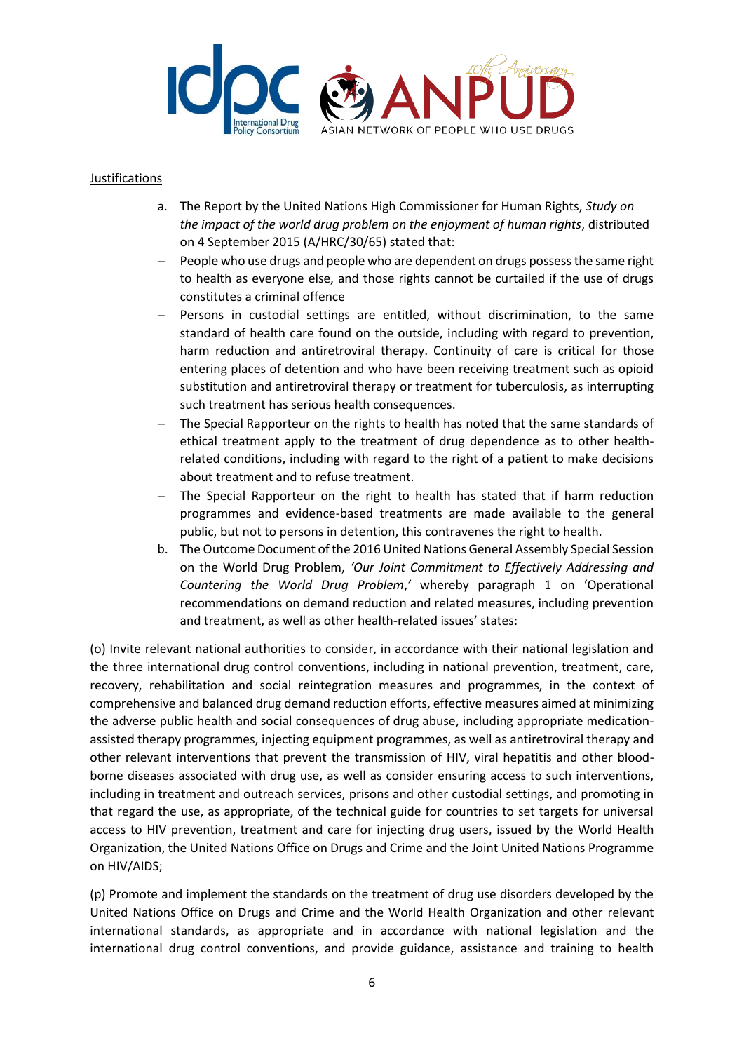

## Justifications

- a. The Report by the United Nations High Commissioner for Human Rights, *Study on the impact of the world drug problem on the enjoyment of human rights*, distributed on 4 September 2015 (A/HRC/30/65) stated that:
- People who use drugs and people who are dependent on drugs possess the same right to health as everyone else, and those rights cannot be curtailed if the use of drugs constitutes a criminal offence
- Persons in custodial settings are entitled, without discrimination, to the same standard of health care found on the outside, including with regard to prevention, harm reduction and antiretroviral therapy. Continuity of care is critical for those entering places of detention and who have been receiving treatment such as opioid substitution and antiretroviral therapy or treatment for tuberculosis, as interrupting such treatment has serious health consequences.
- The Special Rapporteur on the rights to health has noted that the same standards of ethical treatment apply to the treatment of drug dependence as to other healthrelated conditions, including with regard to the right of a patient to make decisions about treatment and to refuse treatment.
- The Special Rapporteur on the right to health has stated that if harm reduction programmes and evidence-based treatments are made available to the general public, but not to persons in detention, this contravenes the right to health.
- b. The Outcome Document of the 2016 United Nations General Assembly Special Session on the World Drug Problem, *'Our Joint Commitment to Effectively Addressing and Countering the World Drug Problem*,*'* whereby paragraph 1 on 'Operational recommendations on demand reduction and related measures, including prevention and treatment, as well as other health-related issues' states:

(o) Invite relevant national authorities to consider, in accordance with their national legislation and the three international drug control conventions, including in national prevention, treatment, care, recovery, rehabilitation and social reintegration measures and programmes, in the context of comprehensive and balanced drug demand reduction efforts, effective measures aimed at minimizing the adverse public health and social consequences of drug abuse, including appropriate medicationassisted therapy programmes, injecting equipment programmes, as well as antiretroviral therapy and other relevant interventions that prevent the transmission of HIV, viral hepatitis and other bloodborne diseases associated with drug use, as well as consider ensuring access to such interventions, including in treatment and outreach services, prisons and other custodial settings, and promoting in that regard the use, as appropriate, of the technical guide for countries to set targets for universal access to HIV prevention, treatment and care for injecting drug users, issued by the World Health Organization, the United Nations Office on Drugs and Crime and the Joint United Nations Programme on HIV/AIDS;

(p) Promote and implement the standards on the treatment of drug use disorders developed by the United Nations Office on Drugs and Crime and the World Health Organization and other relevant international standards, as appropriate and in accordance with national legislation and the international drug control conventions, and provide guidance, assistance and training to health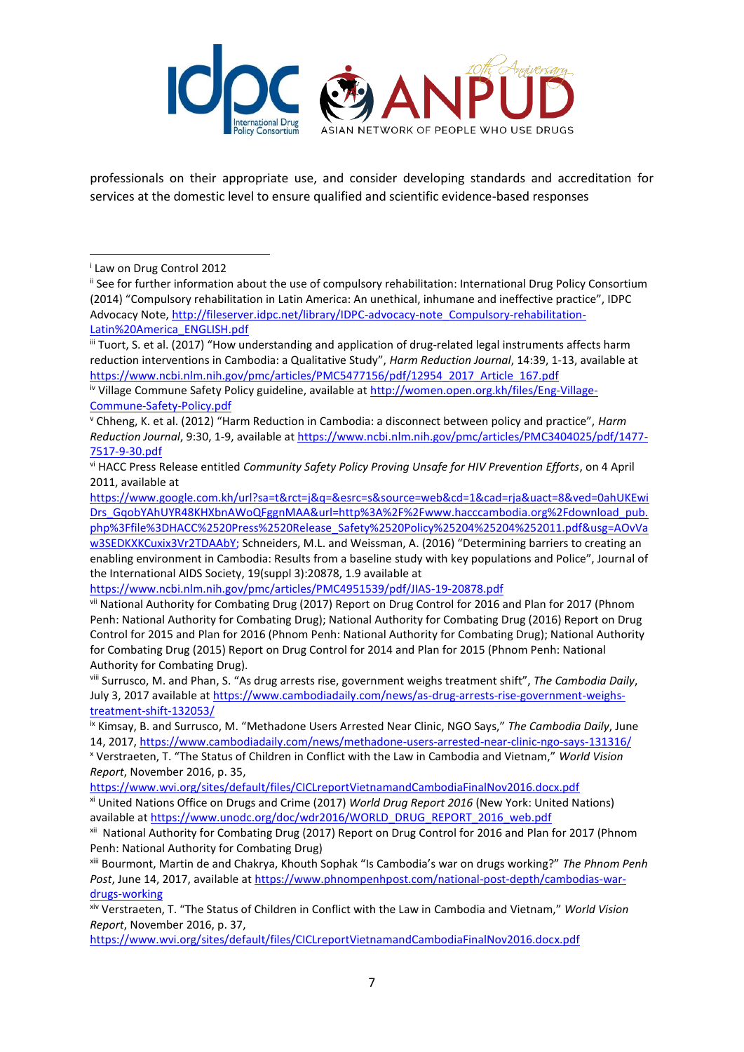

professionals on their appropriate use, and consider developing standards and accreditation for services at the domestic level to ensure qualified and scientific evidence-based responses

1

i Law on Drug Control 2012

<sup>&</sup>lt;sup>ii</sup> See for further information about the use of compulsory rehabilitation: International Drug Policy Consortium (2014) "Compulsory rehabilitation in Latin America: An unethical, inhumane and ineffective practice", IDPC Advocacy Note[, http://fileserver.idpc.net/library/IDPC-advocacy-note\\_Compulsory-rehabilitation-](http://fileserver.idpc.net/library/IDPC-advocacy-note_Compulsory-rehabilitation-Latin%20America_ENGLISH.pdf)[Latin%20America\\_ENGLISH.pdf](http://fileserver.idpc.net/library/IDPC-advocacy-note_Compulsory-rehabilitation-Latin%20America_ENGLISH.pdf)

iii Tuort, S. et al. (2017) "How understanding and application of drug-related legal instruments affects harm reduction interventions in Cambodia: a Qualitative Study", *Harm Reduction Journal*, 14:39, 1-13, available at [https://www.ncbi.nlm.nih.gov/pmc/articles/PMC5477156/pdf/12954\\_2017\\_Article\\_167.pdf](https://www.ncbi.nlm.nih.gov/pmc/articles/PMC5477156/pdf/12954_2017_Article_167.pdf)

iv Village Commune Safety Policy guideline, available at [http://women.open.org.kh/files/Eng-Village-](http://women.open.org.kh/files/Eng-Village-Commune-Safety-Policy.pdf)[Commune-Safety-Policy.pdf](http://women.open.org.kh/files/Eng-Village-Commune-Safety-Policy.pdf)

<sup>v</sup> Chheng, K. et al. (2012) "Harm Reduction in Cambodia: a disconnect between policy and practice", *Harm Reduction Journal*, 9:30, 1-9, available at [https://www.ncbi.nlm.nih.gov/pmc/articles/PMC3404025/pdf/1477-](https://www.ncbi.nlm.nih.gov/pmc/articles/PMC3404025/pdf/1477-7517-9-30.pdf) [7517-9-30.pdf](https://www.ncbi.nlm.nih.gov/pmc/articles/PMC3404025/pdf/1477-7517-9-30.pdf)

vi HACC Press Release entitled *Community Safety Policy Proving Unsafe for HIV Prevention Efforts*, on 4 April 2011, available at

[https://www.google.com.kh/url?sa=t&rct=j&q=&esrc=s&source=web&cd=1&cad=rja&uact=8&ved=0ahUKEwi](https://www.google.com.kh/url?sa=t&rct=j&q=&esrc=s&source=web&cd=1&cad=rja&uact=8&ved=0ahUKEwiDrs_GqobYAhUYR48KHXbnAWoQFggnMAA&url=http%3A%2F%2Fwww.hacccambodia.org%2Fdownload_pub.php%3Ffile%3DHACC%2520Press%2520Release_Safety%2520Policy%25204%25204%252011.pdf&usg=AOvVaw3SEDKXKCuxix3Vr2TDAAbY) [Drs\\_GqobYAhUYR48KHXbnAWoQFggnMAA&url=http%3A%2F%2Fwww.hacccambodia.org%2Fdownload\\_pub.](https://www.google.com.kh/url?sa=t&rct=j&q=&esrc=s&source=web&cd=1&cad=rja&uact=8&ved=0ahUKEwiDrs_GqobYAhUYR48KHXbnAWoQFggnMAA&url=http%3A%2F%2Fwww.hacccambodia.org%2Fdownload_pub.php%3Ffile%3DHACC%2520Press%2520Release_Safety%2520Policy%25204%25204%252011.pdf&usg=AOvVaw3SEDKXKCuxix3Vr2TDAAbY) [php%3Ffile%3DHACC%2520Press%2520Release\\_Safety%2520Policy%25204%25204%252011.pdf&usg=AOvVa](https://www.google.com.kh/url?sa=t&rct=j&q=&esrc=s&source=web&cd=1&cad=rja&uact=8&ved=0ahUKEwiDrs_GqobYAhUYR48KHXbnAWoQFggnMAA&url=http%3A%2F%2Fwww.hacccambodia.org%2Fdownload_pub.php%3Ffile%3DHACC%2520Press%2520Release_Safety%2520Policy%25204%25204%252011.pdf&usg=AOvVaw3SEDKXKCuxix3Vr2TDAAbY) [w3SEDKXKCuxix3Vr2TDAAbY;](https://www.google.com.kh/url?sa=t&rct=j&q=&esrc=s&source=web&cd=1&cad=rja&uact=8&ved=0ahUKEwiDrs_GqobYAhUYR48KHXbnAWoQFggnMAA&url=http%3A%2F%2Fwww.hacccambodia.org%2Fdownload_pub.php%3Ffile%3DHACC%2520Press%2520Release_Safety%2520Policy%25204%25204%252011.pdf&usg=AOvVaw3SEDKXKCuxix3Vr2TDAAbY) Schneiders, M.L. and Weissman, A. (2016) "Determining barriers to creating an enabling environment in Cambodia: Results from a baseline study with key populations and Police", Journal of the International AIDS Society, 19(suppl 3):20878, 1.9 available at

<https://www.ncbi.nlm.nih.gov/pmc/articles/PMC4951539/pdf/JIAS-19-20878.pdf>

vii National Authority for Combating Drug (2017) Report on Drug Control for 2016 and Plan for 2017 (Phnom Penh: National Authority for Combating Drug); National Authority for Combating Drug (2016) Report on Drug Control for 2015 and Plan for 2016 (Phnom Penh: National Authority for Combating Drug); National Authority for Combating Drug (2015) Report on Drug Control for 2014 and Plan for 2015 (Phnom Penh: National Authority for Combating Drug).

viii Surrusco, M. and Phan, S. "As drug arrests rise, government weighs treatment shift", *The Cambodia Daily*, July 3, 2017 available a[t https://www.cambodiadaily.com/news/as-drug-arrests-rise-government-weighs](https://www.cambodiadaily.com/news/as-drug-arrests-rise-government-weighs-treatment-shift-132053/)[treatment-shift-132053/](https://www.cambodiadaily.com/news/as-drug-arrests-rise-government-weighs-treatment-shift-132053/)

ix Kimsay, B. and Surrusco, M. "Methadone Users Arrested Near Clinic, NGO Says," *The Cambodia Daily*, June 14, 2017,<https://www.cambodiadaily.com/news/methadone-users-arrested-near-clinic-ngo-says-131316/> <sup>x</sup> Verstraeten, T. "The Status of Children in Conflict with the Law in Cambodia and Vietnam," *World Vision Report*, November 2016, p. 35,

<https://www.wvi.org/sites/default/files/CICLreportVietnamandCambodiaFinalNov2016.docx.pdf> xi United Nations Office on Drugs and Crime (2017) *World Drug Report 2016* (New York: United Nations) available a[t https://www.unodc.org/doc/wdr2016/WORLD\\_DRUG\\_REPORT\\_2016\\_web.pdf](https://www.unodc.org/doc/wdr2016/WORLD_DRUG_REPORT_2016_web.pdf)

xii National Authority for Combating Drug (2017) Report on Drug Control for 2016 and Plan for 2017 (Phnom Penh: National Authority for Combating Drug)

xiii Bourmont, Martin de and Chakrya, Khouth Sophak "Is Cambodia's war on drugs working?" *The Phnom Penh Post*, June 14, 2017, available at [https://www.phnompenhpost.com/national-post-depth/cambodias-war](https://www.phnompenhpost.com/national-post-depth/cambodias-war-drugs-working)[drugs-working](https://www.phnompenhpost.com/national-post-depth/cambodias-war-drugs-working)

xiv Verstraeten, T. "The Status of Children in Conflict with the Law in Cambodia and Vietnam," *World Vision Report*, November 2016, p. 37,

<https://www.wvi.org/sites/default/files/CICLreportVietnamandCambodiaFinalNov2016.docx.pdf>